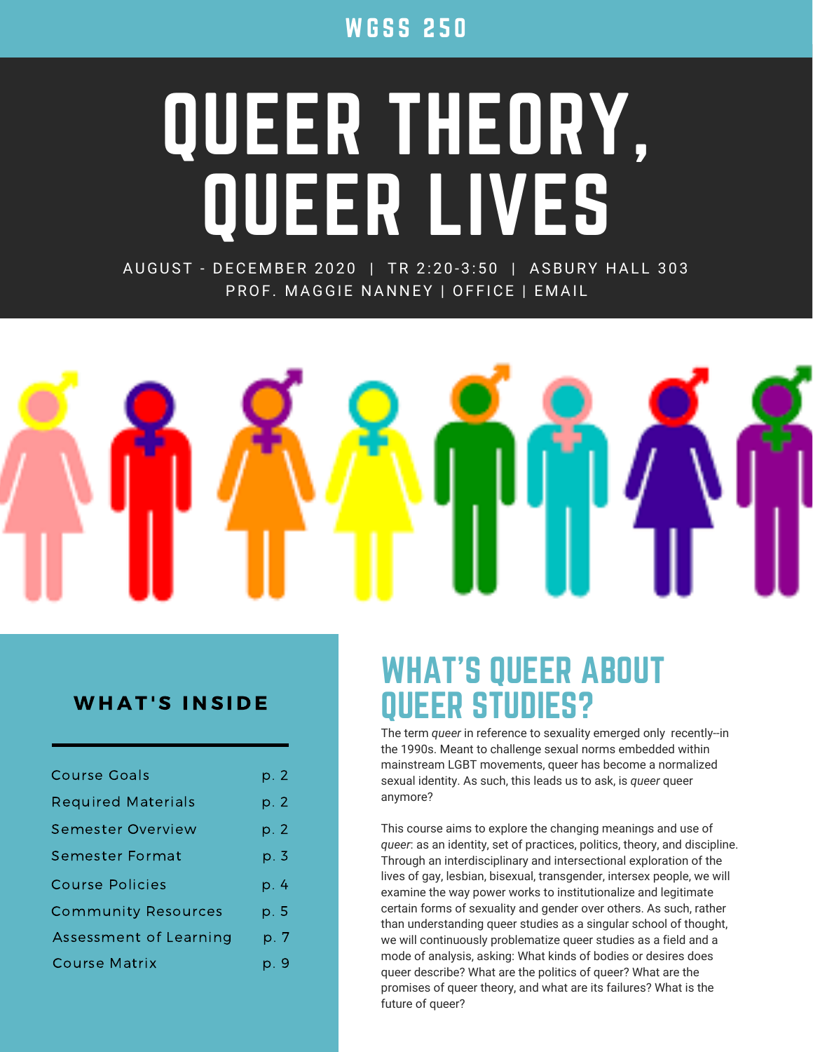**WGSS 250** 

# QUEER THEORY, QUEER LIVES

AUGUST - DECEMBER 2020 | TR 2:20-3:50 | ASBURY HALL 303 PROF. MAGGIE NANNEY | OFFICE | EMAIL



#### WHAT'S INSIDE

| <b>Course Goals</b>        | p. 2 |
|----------------------------|------|
| <b>Required Materials</b>  | p. 2 |
| Semester Overview          | p. 2 |
| Semester Format            | p. 3 |
| Course Policies            | p. 4 |
| <b>Community Resources</b> | p. 5 |
| Assessment of Learning     | p. 7 |
| Course Matrix              | p. 9 |

## WHAT'S QUEER ABOUT QUEER STUDIES?

The term *queer* in reference to sexuality emerged only recently--in the 1990s. Meant to challenge sexual norms embedded within mainstream LGBT movements, queer has become a normalized sexual identity. As such, this leads us to ask, is *queer* queer anymore?

This course aims to explore the changing meanings and use of *queer*: as an identity, set of practices, politics, theory, and discipline. Through an interdisciplinary and intersectional exploration of the lives of gay, lesbian, bisexual, transgender, intersex people, we will examine the way power works to institutionalize and legitimate certain forms of sexuality and gender over others. As such, rather than understanding queer studies as a singular school of thought, we will continuously problematize queer studies as a field and a mode of analysis, asking: What kinds of bodies or desires does queer describe? What are the politics of queer? What are the promises of queer theory, and what are its failures? What is the future of queer?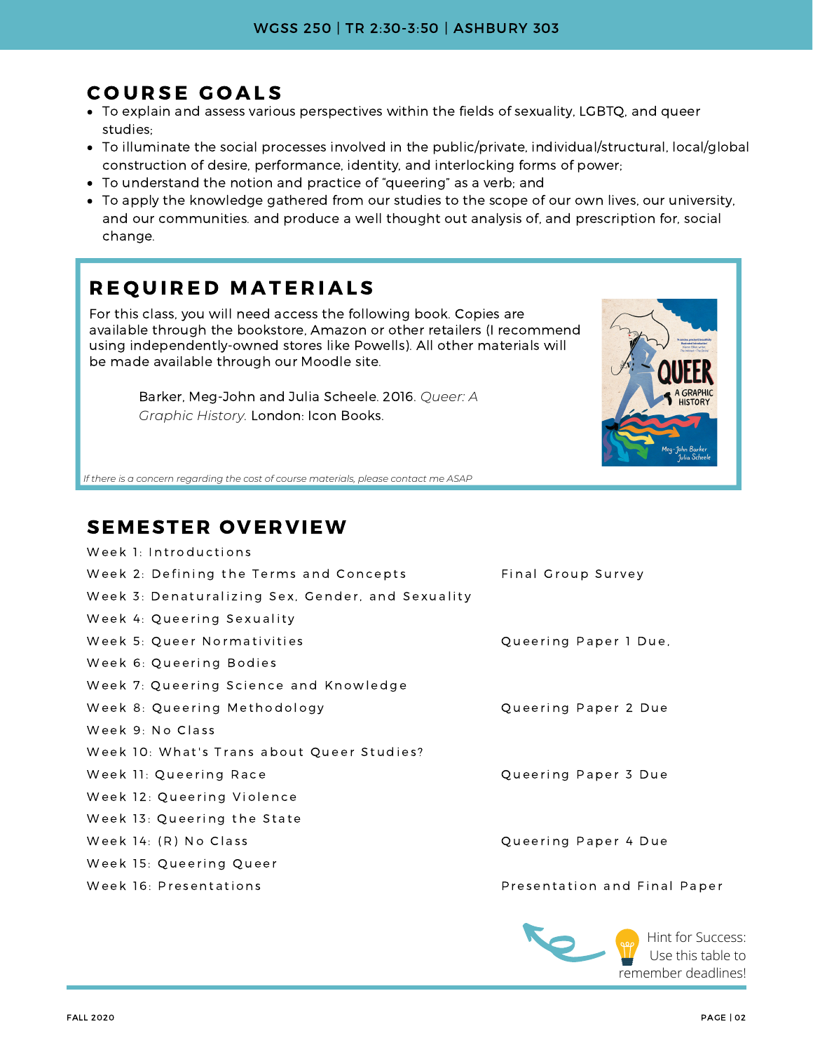## COURSE GOALS

- To explain and assess various perspectives within the fields of sexuality, LGBTQ, and queer studies;
- To illuminate the social processes involved in the public/private, individual/structural, local/global construction of desire, performance, identity, and interlocking forms of power;
- To understand the notion and practice of "queering" as a verb; and
- To apply the knowledge gathered from our studies to the scope of our own lives, our university, and our communities. and produce a well thought out analysis of, and prescription for, social change.

## REQUIRED MATERIALS

For this class, you will need access the following book. Copies are available through the bookstore, Amazon or other retailers (I recommend using independently-owned stores like Powells). All other materials will be made available through our Moodle site.

Barker, Meg-John and Julia Scheele. 2016. *Queer: A Graphic History.* London: Icon Books.



*If there is a concern regarding the cost of course materials, please contact me ASAP*

## SEMESTER OVERVIEW

| Week 1: Introductions                             |                              |
|---------------------------------------------------|------------------------------|
| Week 2: Defining the Terms and Concepts           | Final Group Survey           |
| Week 3: Denaturalizing Sex, Gender, and Sexuality |                              |
| Week 4: Queering Sexuality                        |                              |
| Week 5: Queer Normativities                       | Queering Paper 1 Due,        |
| Week 6: Queering Bodies                           |                              |
| Week 7: Queering Science and Knowledge            |                              |
| Week 8: Queering Methodology                      | Queering Paper 2 Due         |
| Week 9: No Class                                  |                              |
| Week 10: What's Trans about Queer Studies?        |                              |
| Week 11: Queering Race                            | Queering Paper 3 Due         |
| Week 12: Queering Violence                        |                              |
| Week 13: Queering the State                       |                              |
| Week 14: (R) No Class                             | Queering Paper 4 Due         |
| Week 15: Queering Queer                           |                              |
| Week 16: Presentations                            | Presentation and Final Paper |
|                                                   |                              |

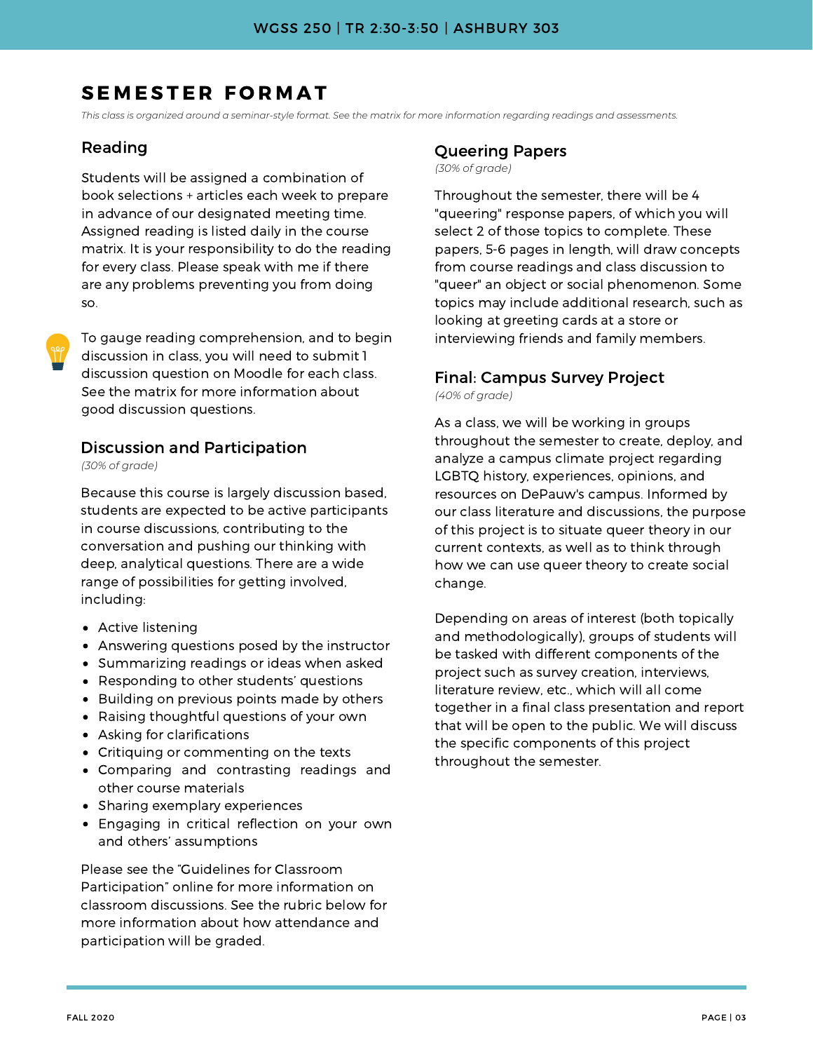## SEMESTER FORMAT

This class is organized around a seminar-style format. See the matrix for more information regarding readings and assessments.

#### Reading

Students will be assigned a combination of book selections + articles each week to prepare in advance of our designated meeting time. Assigned reading is listed daily in the course matrix. It is your responsibility to do the reading for every class. Please speak with me if there are any problems preventing you from doing so.

To gauge reading comprehension, and to begin discussion in class, you will need to submit 1 discussion question on Moodle for each class. See the matrix for more information about good discussion questions.

#### Discussion and Participation

*(30% of grade)*

Because this course is largely discussion based, students are expected to be active participants in course discussions, contributing to the conversation and pushing our thinking with deep, analytical questions. There are a wide range of possibilities for getting involved, including:

- Active listening
- Answering questions posed by the instructor
- Summarizing readings or ideas when asked
- Responding to other students' questions
- Building on previous points made by others
- Raising thoughtful questions of your own
- Asking for clarifications
- Critiquing or commenting on the texts
- Comparing and contrasting readings and other course materials
- Sharing exemplary experiences
- Engaging in critical reflection on your own and others' assumptions

Please see the "Guidelines for Classroom Participation" online for more information on classroom discussions. See the rubric below for more information about how attendance and participation will be graded.

## Queering Papers

*(30% of grade)*

Throughout the semester, there will be 4 "queering" response papers, of which you will select 2 of those topics to complete. These papers, 5-6 pages in length, will draw concepts from course readings and class discussion to "queer" an object or social phenomenon. Some topics may include additional research, such as looking at greeting cards at a store or interviewing friends and family members.

#### Final: Campus Survey Project

*(40% of grade)*

As a class, we will be working in groups throughout the semester to create, deploy, and analyze a campus climate project regarding LGBTQ history, experiences, opinions, and resources on DePauw's campus. Informed by our class literature and discussions, the purpose of this project is to situate queer theory in our current contexts, as well as to think through how we can use queer theory to create social change.

Depending on areas of interest (both topically and methodologically), groups of students will be tasked with different components of the project such as survey creation, interviews, literature review, etc., which will all come together in a final class presentation and report that will be open to the public. We will discuss the specific components of this project throughout the semester.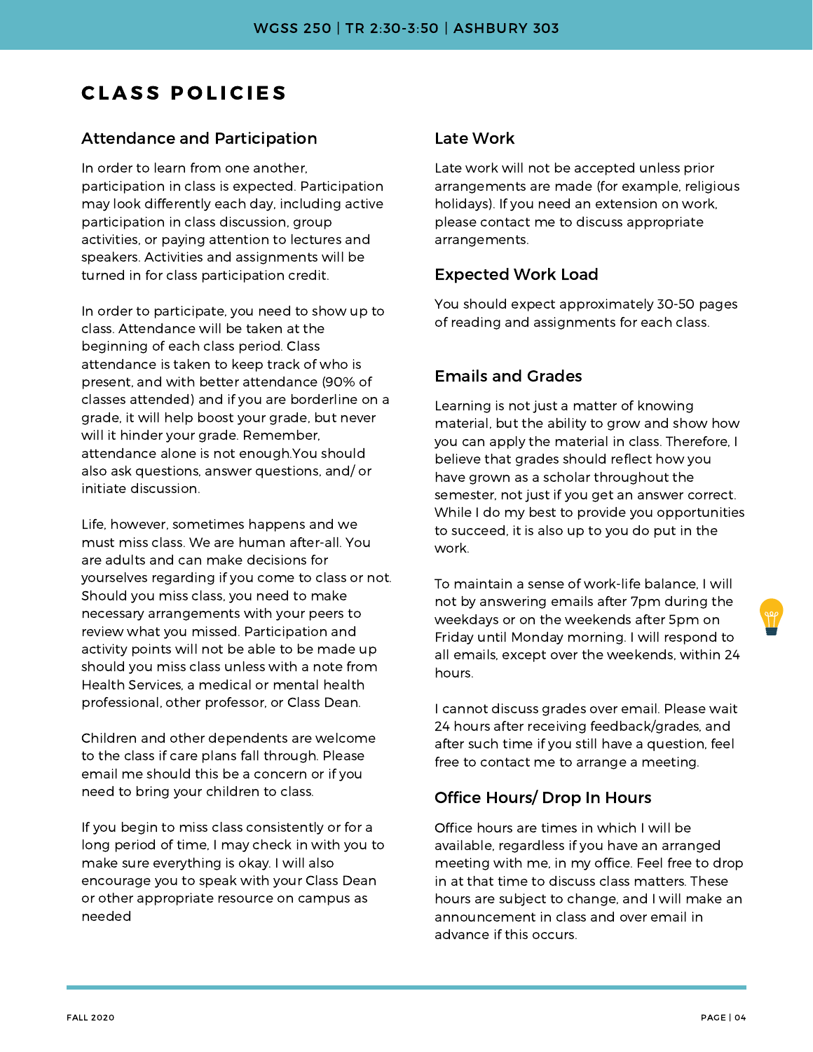## **CLASS POLICIES**

#### Attendance and Participation

In order to learn from one another, participation in class is expected. Participation may look differently each day, including active participation in class discussion, group activities, or paying attention to lectures and speakers. Activities and assignments will be turned in for class participation credit.

In order to participate, you need to show up to class. Attendance will be taken at the beginning of each class period. Class attendance is taken to keep track of who is present, and with better attendance (90% of classes attended) and if you are borderline on a grade, it will help boost your grade, but never will it hinder your grade. Remember, attendance alone is not enough.You should also ask questions, answer questions, and/ or initiate discussion.

Life, however, sometimes happens and we must miss class. We are human after-all. You are adults and can make decisions for yourselves regarding if you come to class or not. Should you miss class, you need to make necessary arrangements with your peers to review what you missed. Participation and activity points will not be able to be made up should you miss class unless with a note from Health Services, a medical or mental health professional, other professor, or Class Dean.

Children and other dependents are welcome to the class if care plans fall through. Please email me should this be a concern or if you need to bring your children to class.

If you begin to miss class consistently or for a long period of time, I may check in with you to make sure everything is okay. I will also encourage you to speak with your Class Dean or other appropriate resource on campus as needed

#### Late Work

Late work will not be accepted unless prior arrangements are made (for example, religious holidays). If you need an extension on work, please contact me to discuss appropriate arrangements.

#### Expected Work Load

You should expect approximately 30-50 pages of reading and assignments for each class.

#### Emails and Grades

Learning is not just a matter of knowing material, but the ability to grow and show how you can apply the material in class. Therefore, I believe that grades should reflect how you have grown as a scholar throughout the semester, not just if you get an answer correct. While I do my best to provide you opportunities to succeed, it is also up to you do put in the work.

To maintain a sense of work-life balance, I will not by answering emails after 7pm during the weekdays or on the weekends after 5pm on Friday until Monday morning. I will respond to all emails, except over the weekends, within 24 hours.

I cannot discuss grades over email. Please wait 24 hours after receiving feedback/grades, and after such time if you still have a question, feel free to contact me to arrange a meeting.

#### Office Hours/ Drop In Hours

Office hours are times in which I will be available, regardless if you have an arranged meeting with me, in my office. Feel free to drop in at that time to discuss class matters. These hours are subject to change, and I will make an announcement in class and over email in advance if this occurs.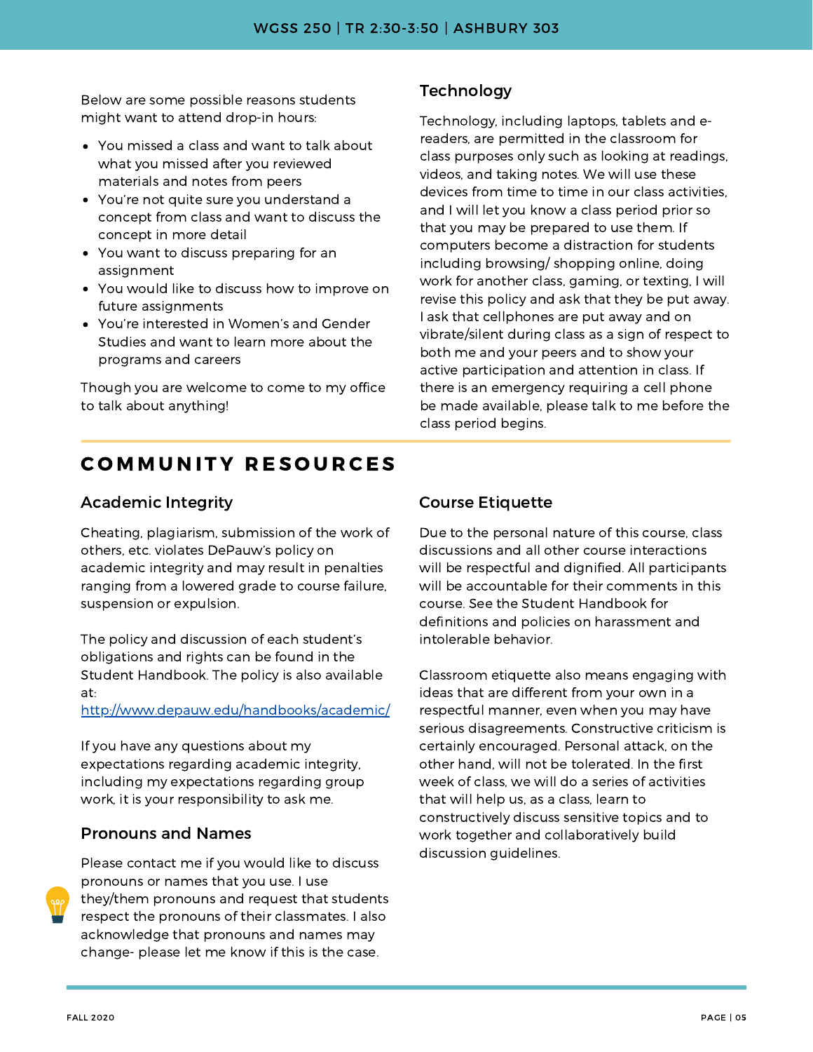Below are some possible reasons students might want to attend drop-in hours:

- You missed a class and want to talk about what you missed after you reviewed materials and notes from peers
- You're not quite sure you understand a concept from class and want to discuss the concept in more detail
- You want to discuss preparing for an assignment
- You would like to discuss how to improve on future assignments
- You're interested in Women's and Gender Studies and want to learn more about the programs and careers

Though you are welcome to come to my office to talk about anything!

#### **Technology**

Technology, including laptops, tablets and ereaders, are permitted in the classroom for class purposes only such as looking at readings, videos, and taking notes. We will use these devices from time to time in our class activities, and I will let you know a class period prior so that you may be prepared to use them. If computers become a distraction for students including browsing/ shopping online, doing work for another class, gaming, or texting, I will revise this policy and ask that they be put away. I ask that cellphones are put away and on vibrate/silent during class as a sign of respect to both me and your peers and to show your active participation and attention in class. If there is an emergency requiring a cell phone be made available, please talk to me before the class period begins.

## **COMMUNITY RESOURCES**

#### Academic Integrity

Cheating, plagiarism, submission of the work of others, etc. violates DePauw's policy on academic integrity and may result in penalties ranging from a lowered grade to course failure, suspension or expulsion.

The policy and discussion of each student's obligations and rights can be found in the Student Handbook. The policy is also available at:

http://www.depauw.edu/handbooks/academic/

If you have any questions about my expectations regarding academic integrity, including my expectations regarding group work, it is your responsibility to ask me.

#### Pronouns and Names



Please contact me if you would like to discuss pronouns or names that you use. I use they/them pronouns and request that students respect the pronouns of their classmates. I also acknowledge that pronouns and names may change- please let me know if this is the case.

#### Course Etiquette

Due to the personal nature of this course, class discussions and all other course interactions will be respectful and dignified. All participants will be accountable for their comments in this course. See the Student Handbook for definitions and policies on harassment and intolerable behavior.

Classroom etiquette also means engaging with ideas that are different from your own in a respectful manner, even when you may have serious disagreements. Constructive criticism is certainly encouraged. Personal attack, on the other hand, will not be tolerated. In the first week of class, we will do a series of activities that will help us, as a class, learn to constructively discuss sensitive topics and to work together and collaboratively build discussion guidelines.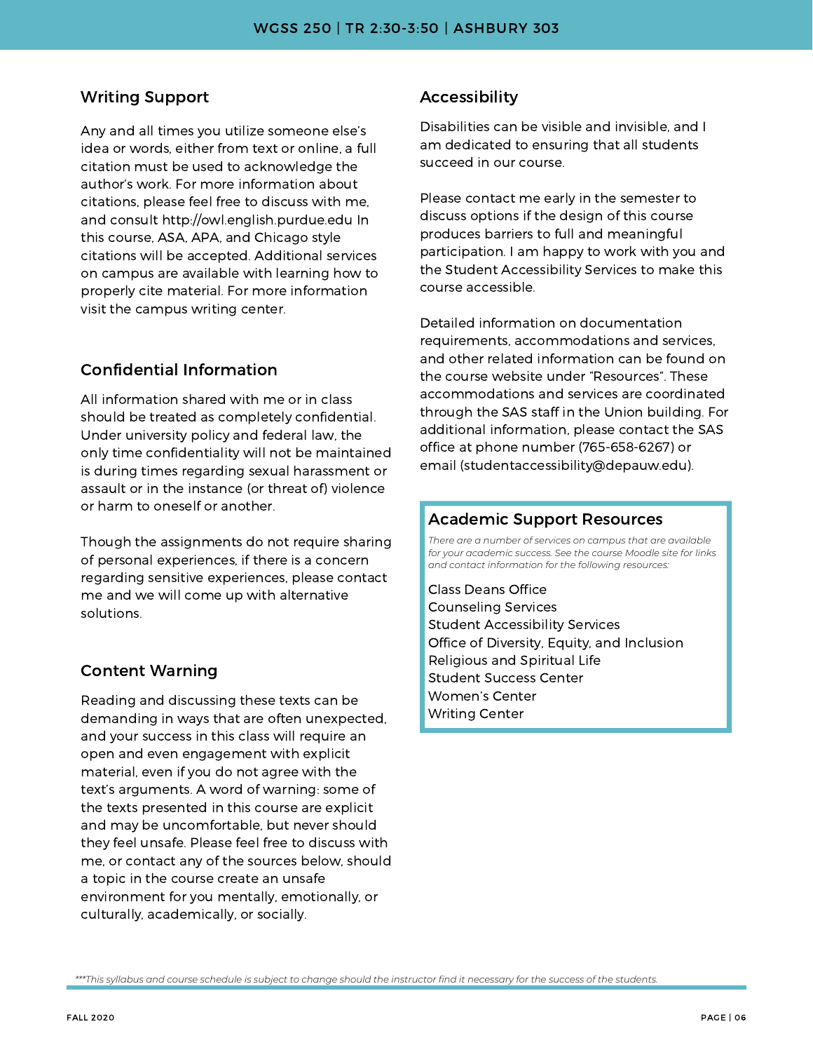#### Writing Support

Any and all times you utilize someone else's idea or words, either from text or online, a full citation must be used to acknowledge the author's work. For more information about citations, please feel free to discuss with me, and consult http://owl.english.purdue.edu In this course, ASA, APA, and Chicago style citations will be accepted. Additional services on campus are available with learning how to properly cite material. For more information visit the campus writing center.

#### Confidential Information

All information shared with me or in class should be treated as completely confidential. Under university policy and federal law, the only time confidentiality will not be maintained is during times regarding sexual harassment or assault or in the instance (or threat of) violence or harm to oneself or another.

Though the assignments do not require sharing of personal experiences, if there is a concern regarding sensitive experiences, please contact me and we will come up with alternative solutions.

#### Content Warning

Reading and discussing these texts can be demanding in ways that are often unexpected, and your success in this class will require an open and even engagement with explicit material, even if you do not agree with the text's arguments. A word of warning: some of the texts presented in this course are explicit and may be uncomfortable, but never should they feel unsafe. Please feel free to discuss with me, or contact any of the sources below, should a topic in the course create an unsafe environment for you mentally, emotionally, or culturally, academically, or socially.

#### Accessibility

Disabilities can be visible and invisible, and I am dedicated to ensuring that all students succeed in our course.

Please contact me early in the semester to discuss options if the design of this course produces barriers to full and meaningful participation. I am happy to work with you and the Student Accessibility Services to make this course accessible.

Detailed information on documentation requirements, accommodations and services, and other related information can be found on the course website under "Resources". These accommodations and services are coordinated through the SAS staff in the Union building. For additional information, please contact the SAS office at phone number (765-658-6267) or email (studentaccessibility@depauw.edu).

#### Academic Support Resources

*There are a number of services on campus that are available for your academic success. See the course Moodle site for links and contact information for the following resources:*

Class Deans Office Counseling Services Student Accessibility Services Office of Diversity, Equity, and Inclusion Religious and Spiritual Life Student Success Center Women's Center Writing Center

\*\*\*This syllabus and course schedule is subject to change should the instructor find it necessary for the success of the students.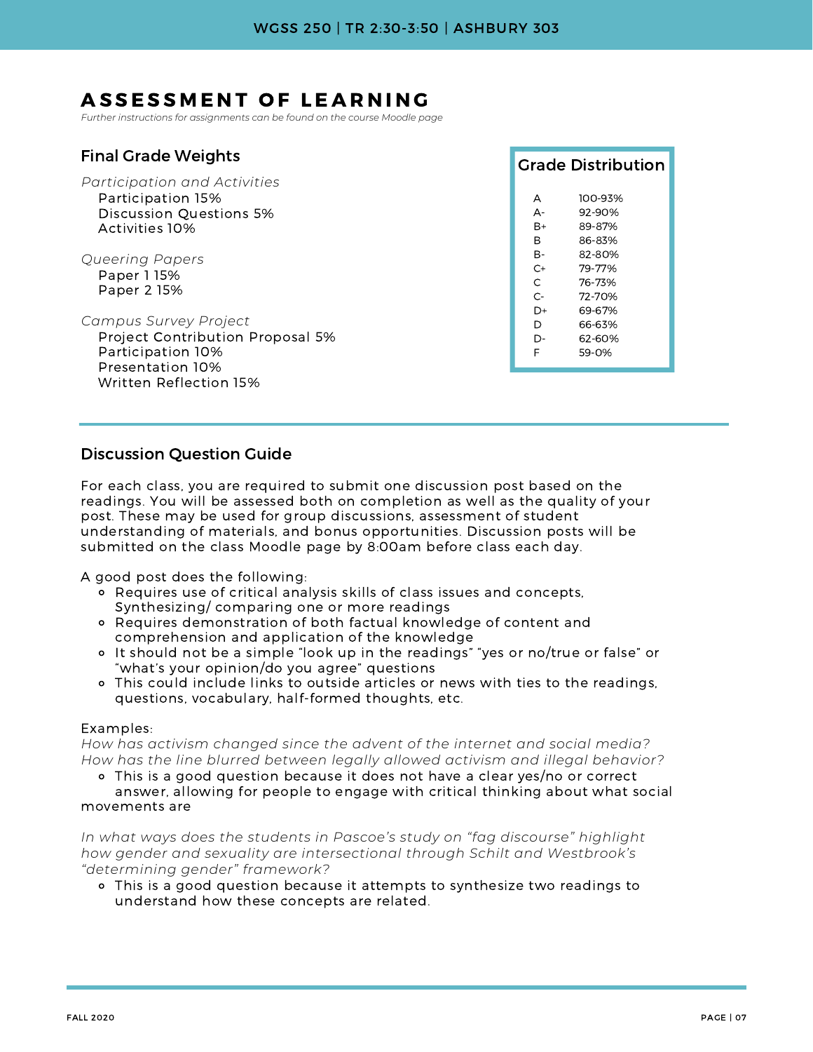## ASSESSMENT OF LEARNING

*Further instructions for assignments can be found on the course Moodle page*

| <b>Final Grade Weights</b>       |       | <b>Grade Distribution</b> |
|----------------------------------|-------|---------------------------|
| Participation and Activities     |       |                           |
| Participation 15%                | A     | 100-93%                   |
| Discussion Questions 5%          | $A -$ | 92-90%                    |
| Activities 10%                   | $B+$  | 89-87%                    |
|                                  | B     | 86-83%                    |
| Queering Papers                  | B-    | 82-80%                    |
| Paper 1 15%                      | $C+$  | 79-77%                    |
| Paper 2 15%                      | C     | 76-73%                    |
|                                  | $C-$  | 72-70%                    |
|                                  | D+    | 69-67%                    |
| Campus Survey Project            | D     | 66-63%                    |
| Project Contribution Proposal 5% | D-    | 62-60%                    |
| Participation 10%                | F     | 59-0%                     |
| Presentation 10%                 |       |                           |
| Written Reflection 15%           |       |                           |

#### Discussion Question Guide

For each class, you are required to submit one discussion post based on the readings. You will be assessed both on completion as well as the quality of your post. These may be used for group discussions, assessment of student understanding of materials, and bonus opportunities. Discussion posts will be submitted on the class Moodle page by 8:00am before class each day.

A good post does the following:

- Requires use of critical analysis skills of class issues and concepts, Synthesizing/ comparing one or more readings
- Requires demonstration of both factual knowledge of content and comprehension and application of the knowledge
- It should not be a simple "look up in the readings" "yes or no/true or false" or "what's your opinion/do you agree" questions
- This could include links to outside articles or news with ties to the readings, questions, vocabulary, half-formed thoughts, etc.

#### Examples:

*How has activism changed since the advent of the internet and social media? How has the line blurred between legally allowed activism and illegal behavior?*

This is a good question because it does not have a clear yes/no or correct

answer, allowing for people to engage with critical thinking about what social movements are

*In what ways does the students in Pascoe's study on "fag discourse" highlight how gender and sexuality are intersectional through Schilt and Westbrook's "determining gender" framework?*

This is a good question because it attempts to synthesize two readings to understand how these concepts are related.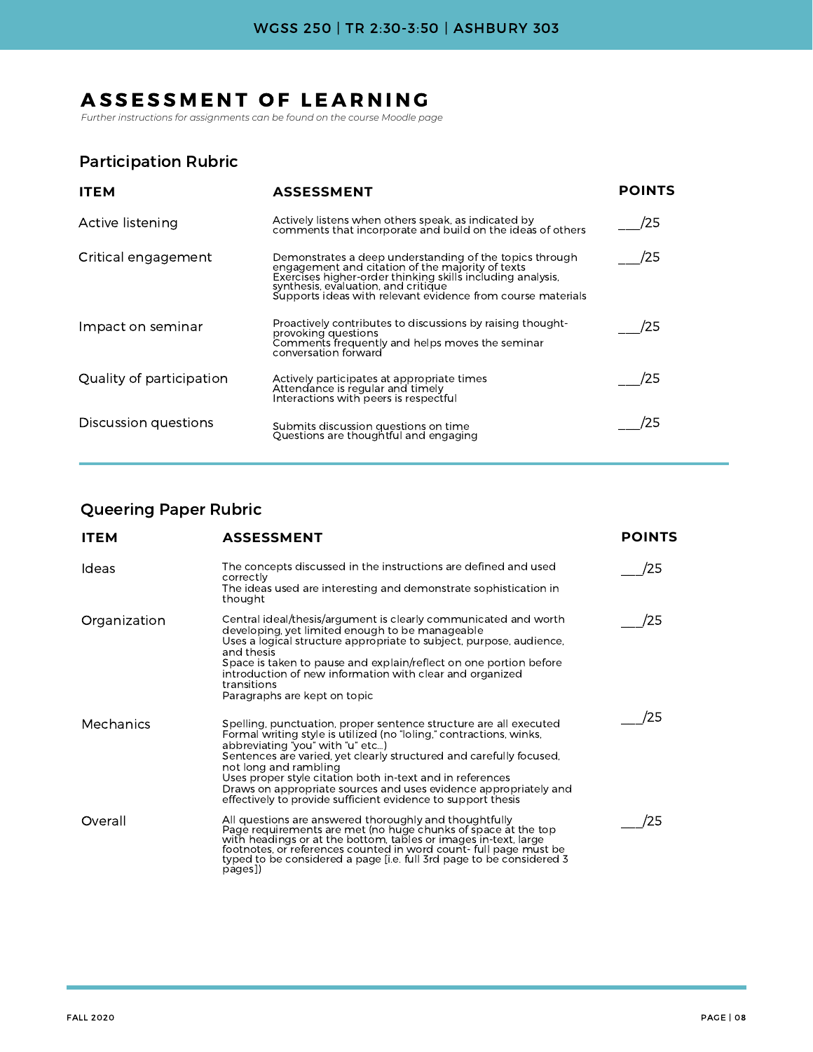## ASSESSMENT OF LEARNING

*Further instructions for assignments can be found on the course Moodle page*

### Participation Rubric

| <b>ITEM</b>              | <b>ASSESSMENT</b>                                                                                                                                                                                                                                                               | <b>POINTS</b> |
|--------------------------|---------------------------------------------------------------------------------------------------------------------------------------------------------------------------------------------------------------------------------------------------------------------------------|---------------|
| Active listening         | Actively listens when others speak, as indicated by<br>comments that incorporate and build on the ideas of others                                                                                                                                                               | /25           |
| Critical engagement      | Demonstrates a deep understanding of the topics through<br>engagement and citation of the majority of texts<br>Exercises higher-order thinking skills including analysis,<br>synthesis, evaluation, and critique<br>Supports ideas with relevant evidence from course materials | /25           |
| Impact on seminar        | Proactively contributes to discussions by raising thought-<br>provoking questions<br>Comments frequently and helps moves the seminar<br>conversation forward                                                                                                                    | 25            |
| Quality of participation | Actively participates at appropriate times<br>Attendance is regular and timely<br>Interactions with peers is respectful                                                                                                                                                         | '25           |
| Discussion questions     | Submits discussion questions on time<br>Questions are thoughtful and engaging                                                                                                                                                                                                   | 25            |

#### Queering Paper Rubric

| <b>ITEM</b>  | <b>ASSESSMENT</b>                                                                                                                                                                                                                                                                                                                                                                                                                                                             | <b>POINTS</b> |
|--------------|-------------------------------------------------------------------------------------------------------------------------------------------------------------------------------------------------------------------------------------------------------------------------------------------------------------------------------------------------------------------------------------------------------------------------------------------------------------------------------|---------------|
| Ideas        | The concepts discussed in the instructions are defined and used<br>correctly<br>The ideas used are interesting and demonstrate sophistication in<br>thought                                                                                                                                                                                                                                                                                                                   | 25            |
| Organization | Central ideal/thesis/argument is clearly communicated and worth<br>developing, yet limited enough to be manageable<br>Uses a logical structure appropriate to subject, purpose, audience,<br>and thesis<br>Space is taken to pause and explain/reflect on one portion before<br>introduction of new information with clear and organized<br>transitions<br>Paragraphs are kept on topic                                                                                       | ′25           |
| Mechanics    | Spelling, punctuation, proper sentence structure are all executed<br>Formal writing style is utilized (no "loling," contractions, winks,<br>abbreviating "you" with "u" etc)<br>Sentences are varied, yet clearly structured and carefully focused,<br>not long and rambling<br>Uses proper style citation both in-text and in references<br>Draws on appropriate sources and uses evidence appropriately and<br>effectively to provide sufficient evidence to support thesis | 25            |
| Overall      | All questions are answered thoroughly and thoughtfully<br>Page requirements are met (no huge chunks of space at the top<br>with headings or at the bottom, tables or images in-text, large<br>footnotes, or references counted in word count-full page must be<br>typed to be considered a page [i.e. full 3rd page to be considered 3<br>pages])                                                                                                                             | 25            |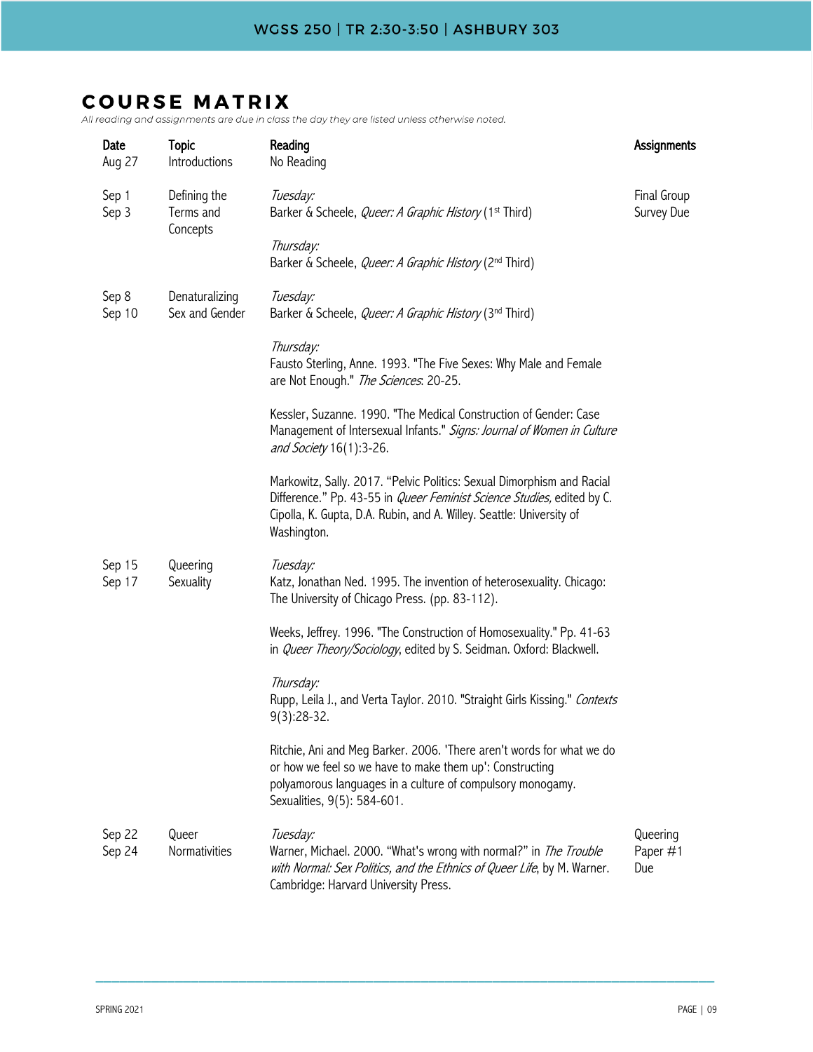daily and doughthorics are due in or

| Date<br>Aug 27   | <b>Topic</b><br>Introductions         | Reading<br>No Reading                                                                                                                                                                                                                           | Assignments                 |
|------------------|---------------------------------------|-------------------------------------------------------------------------------------------------------------------------------------------------------------------------------------------------------------------------------------------------|-----------------------------|
| Sep 1<br>Sep 3   | Defining the<br>Terms and<br>Concepts | Tuesday:<br>Barker & Scheele, <i>Queer: A Graphic History</i> (1 <sup>st</sup> Third)                                                                                                                                                           | Final Group<br>Survey Due   |
|                  |                                       | Thursday:<br>Barker & Scheele, Queer: A Graphic History (2nd Third)                                                                                                                                                                             |                             |
| Sep 8<br>Sep 10  | Denaturalizing<br>Sex and Gender      | Tuesday:<br>Barker & Scheele, <i>Queer: A Graphic History</i> (3 <sup>nd</sup> Third)                                                                                                                                                           |                             |
|                  |                                       | Thursday:<br>Fausto Sterling, Anne. 1993. "The Five Sexes: Why Male and Female<br>are Not Enough." The Sciences. 20-25.                                                                                                                         |                             |
|                  |                                       | Kessler, Suzanne. 1990. "The Medical Construction of Gender: Case<br>Management of Intersexual Infants." Signs: Journal of Women in Culture<br>and Society 16(1):3-26.                                                                          |                             |
|                  |                                       | Markowitz, Sally. 2017. "Pelvic Politics: Sexual Dimorphism and Racial<br>Difference." Pp. 43-55 in <i>Queer Feminist Science Studies</i> , edited by C.<br>Cipolla, K. Gupta, D.A. Rubin, and A. Willey. Seattle: University of<br>Washington. |                             |
| Sep 15<br>Sep 17 | Queering<br>Sexuality                 | Tuesday:<br>Katz, Jonathan Ned. 1995. The invention of heterosexuality. Chicago:<br>The University of Chicago Press. (pp. 83-112).                                                                                                              |                             |
|                  |                                       | Weeks, Jeffrey. 1996. "The Construction of Homosexuality." Pp. 41-63<br>in Queer Theory/Sociology, edited by S. Seidman. Oxford: Blackwell.                                                                                                     |                             |
|                  |                                       | Thursday:<br>Rupp, Leila J., and Verta Taylor. 2010. "Straight Girls Kissing." Contexts<br>$9(3):28-32.$                                                                                                                                        |                             |
|                  |                                       | Ritchie, Ani and Meg Barker. 2006. 'There aren't words for what we do<br>or how we feel so we have to make them up': Constructing<br>polyamorous languages in a culture of compulsory monogamy.<br>Sexualities, 9(5): 584-601.                  |                             |
| Sep 22<br>Sep 24 | Queer<br>Normativities                | Tuesday:<br>Warner, Michael. 2000. "What's wrong with normal?" in <i>The Trouble</i><br>with Normal: Sex Politics, and the Ethnics of Queer Life, by M. Warner.<br>Cambridge: Harvard University Press.                                         | Queering<br>Paper #1<br>Due |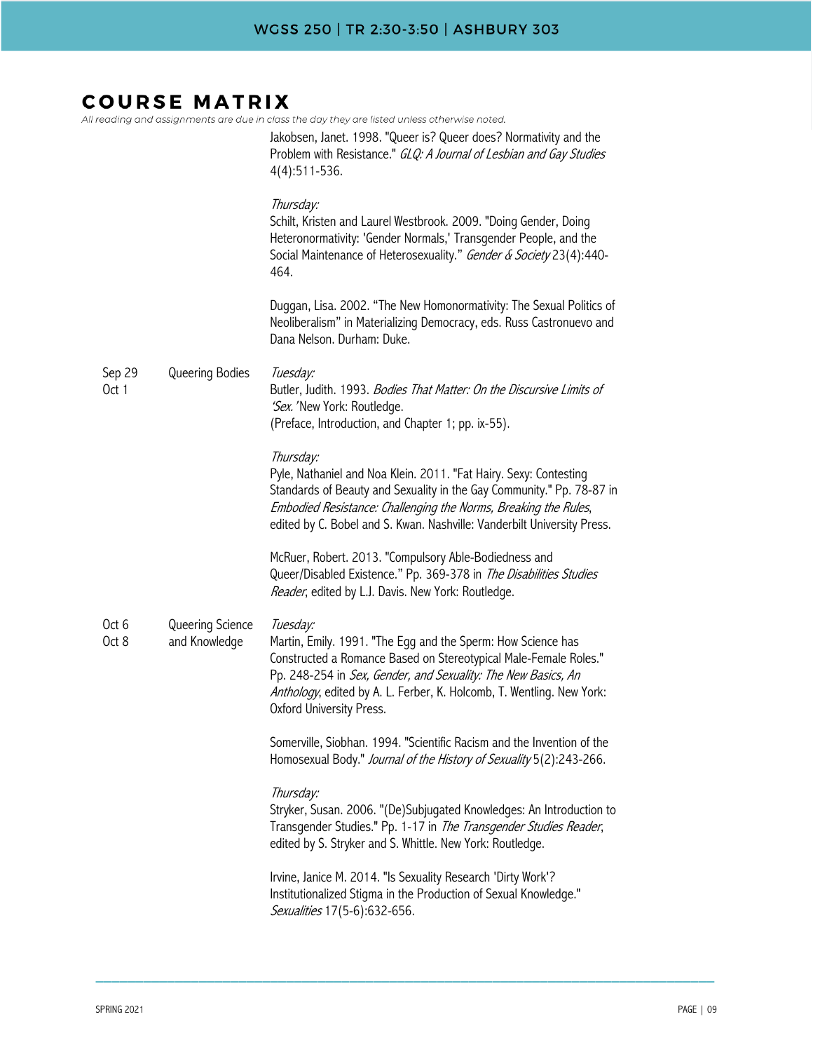| All reading and assignments are due in class the day they are listed unless otherwise noted. |                                   |                                                                                                                                                                                                                                                                                                                    |  |  |
|----------------------------------------------------------------------------------------------|-----------------------------------|--------------------------------------------------------------------------------------------------------------------------------------------------------------------------------------------------------------------------------------------------------------------------------------------------------------------|--|--|
|                                                                                              |                                   | Jakobsen, Janet. 1998. "Queer is? Queer does? Normativity and the<br>Problem with Resistance." GLQ: A Journal of Lesbian and Gay Studies<br>$4(4):511-536.$                                                                                                                                                        |  |  |
|                                                                                              |                                   | Thursday:<br>Schilt, Kristen and Laurel Westbrook. 2009. "Doing Gender, Doing<br>Heteronormativity: 'Gender Normals,' Transgender People, and the<br>Social Maintenance of Heterosexuality." Gender & Society 23(4):440-<br>464.                                                                                   |  |  |
|                                                                                              |                                   | Duggan, Lisa. 2002. "The New Homonormativity: The Sexual Politics of<br>Neoliberalism" in Materializing Democracy, eds. Russ Castronuevo and<br>Dana Nelson. Durham: Duke.                                                                                                                                         |  |  |
| Sep 29<br>Oct 1                                                                              | Queering Bodies                   | Tuesday:<br>Butler, Judith. 1993. Bodies That Matter: On the Discursive Limits of<br>'Sex.' New York: Routledge.<br>(Preface, Introduction, and Chapter 1; pp. ix-55).                                                                                                                                             |  |  |
|                                                                                              |                                   | Thursday:<br>Pyle, Nathaniel and Noa Klein. 2011. "Fat Hairy. Sexy: Contesting<br>Standards of Beauty and Sexuality in the Gay Community." Pp. 78-87 in<br>Embodied Resistance: Challenging the Norms, Breaking the Rules,<br>edited by C. Bobel and S. Kwan. Nashville: Vanderbilt University Press.              |  |  |
|                                                                                              |                                   | McRuer, Robert. 2013. "Compulsory Able-Bodiedness and<br>Queer/Disabled Existence." Pp. 369-378 in The Disabilities Studies<br>Reader, edited by L.J. Davis. New York: Routledge.                                                                                                                                  |  |  |
| Oct 6<br>Oct 8                                                                               | Queering Science<br>and Knowledge | Tuesday:<br>Martin, Emily. 1991. "The Egg and the Sperm: How Science has<br>Constructed a Romance Based on Stereotypical Male-Female Roles."<br>Pp. 248-254 in Sex, Gender, and Sexuality: The New Basics, An<br>Anthology, edited by A. L. Ferber, K. Holcomb, T. Wentling. New York:<br>Oxford University Press. |  |  |
|                                                                                              |                                   | Somerville, Siobhan. 1994. "Scientific Racism and the Invention of the<br>Homosexual Body." Journal of the History of Sexuality 5(2):243-266.                                                                                                                                                                      |  |  |
|                                                                                              |                                   | Thursday:<br>Stryker, Susan. 2006. "(De)Subjugated Knowledges: An Introduction to<br>Transgender Studies." Pp. 1-17 in The Transgender Studies Reader,<br>edited by S. Stryker and S. Whittle. New York: Routledge.                                                                                                |  |  |
|                                                                                              |                                   | Irvine, Janice M. 2014. "Is Sexuality Research 'Dirty Work'?<br>Institutionalized Stigma in the Production of Sexual Knowledge."<br>Sexualities 17(5-6):632-656.                                                                                                                                                   |  |  |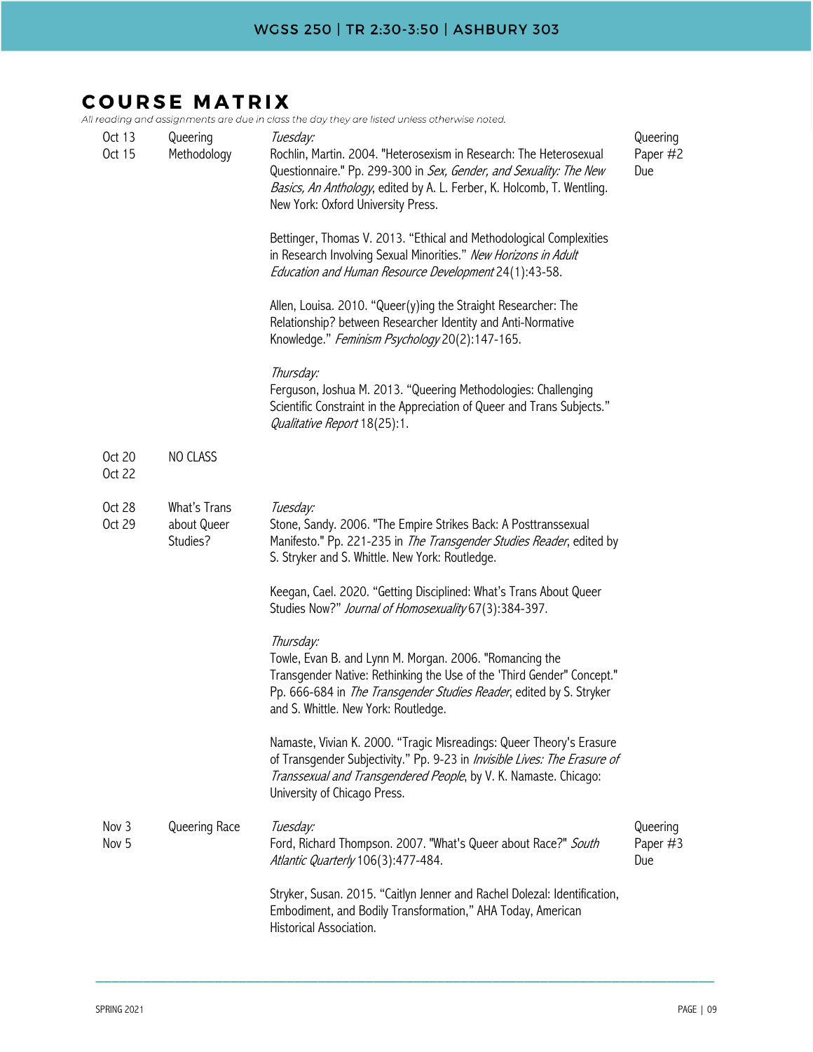All reading and assignments are due in class the day they are listed unless otherwise noted.

| Oct 13<br>Oct 15 | Queering<br>Methodology                 | Tuesday:<br>Rochlin, Martin. 2004. "Heterosexism in Research: The Heterosexual<br>Questionnaire." Pp. 299-300 in Sex, Gender, and Sexuality: The New<br>Basics, An Anthology, edited by A. L. Ferber, K. Holcomb, T. Wentling.<br>New York: Oxford University Press. | Queering<br>Paper #2<br>Due |
|------------------|-----------------------------------------|----------------------------------------------------------------------------------------------------------------------------------------------------------------------------------------------------------------------------------------------------------------------|-----------------------------|
|                  |                                         | Bettinger, Thomas V. 2013. "Ethical and Methodological Complexities<br>in Research Involving Sexual Minorities." New Horizons in Adult<br>Education and Human Resource Development 24(1):43-58.                                                                      |                             |
|                  |                                         | Allen, Louisa. 2010. "Queer(y)ing the Straight Researcher: The<br>Relationship? between Researcher Identity and Anti-Normative<br>Knowledge." Feminism Psychology 20(2):147-165.                                                                                     |                             |
|                  |                                         | Thursday:<br>Ferguson, Joshua M. 2013. "Queering Methodologies: Challenging<br>Scientific Constraint in the Appreciation of Queer and Trans Subjects."<br>Qualitative Report 18(25):1.                                                                               |                             |
| Oct 20<br>Oct 22 | NO CLASS                                |                                                                                                                                                                                                                                                                      |                             |
| Oct 28<br>Oct 29 | What's Trans<br>about Queer<br>Studies? | Tuesday:<br>Stone, Sandy. 2006. "The Empire Strikes Back: A Posttranssexual<br>Manifesto." Pp. 221-235 in The Transgender Studies Reader, edited by<br>S. Stryker and S. Whittle. New York: Routledge.                                                               |                             |
|                  |                                         | Keegan, Cael. 2020. "Getting Disciplined: What's Trans About Queer<br>Studies Now?" Journal of Homosexuality 67(3):384-397.                                                                                                                                          |                             |
|                  |                                         | Thursday:<br>Towle, Evan B. and Lynn M. Morgan. 2006. "Romancing the<br>Transgender Native: Rethinking the Use of the 'Third Gender" Concept."<br>Pp. 666-684 in The Transgender Studies Reader, edited by S. Stryker<br>and S. Whittle. New York: Routledge.        |                             |
|                  |                                         | Namaste, Vivian K. 2000. "Tragic Misreadings: Queer Theory's Erasure<br>of Transgender Subjectivity." Pp. 9-23 in Invisible Lives: The Erasure of<br>Transsexual and Transgendered People, by V. K. Namaste. Chicago:<br>University of Chicago Press.                |                             |
| Nov 3<br>Nov 5   | Queering Race                           | Tuesday:<br>Ford, Richard Thompson. 2007. "What's Queer about Race?" South<br>Atlantic Quarterly 106(3):477-484.                                                                                                                                                     | Queering<br>Paper #3<br>Due |
|                  |                                         | Stryker, Susan. 2015. "Caitlyn Jenner and Rachel Dolezal: Identification,<br>Embodiment, and Bodily Transformation," AHA Today, American<br>Historical Association.                                                                                                  |                             |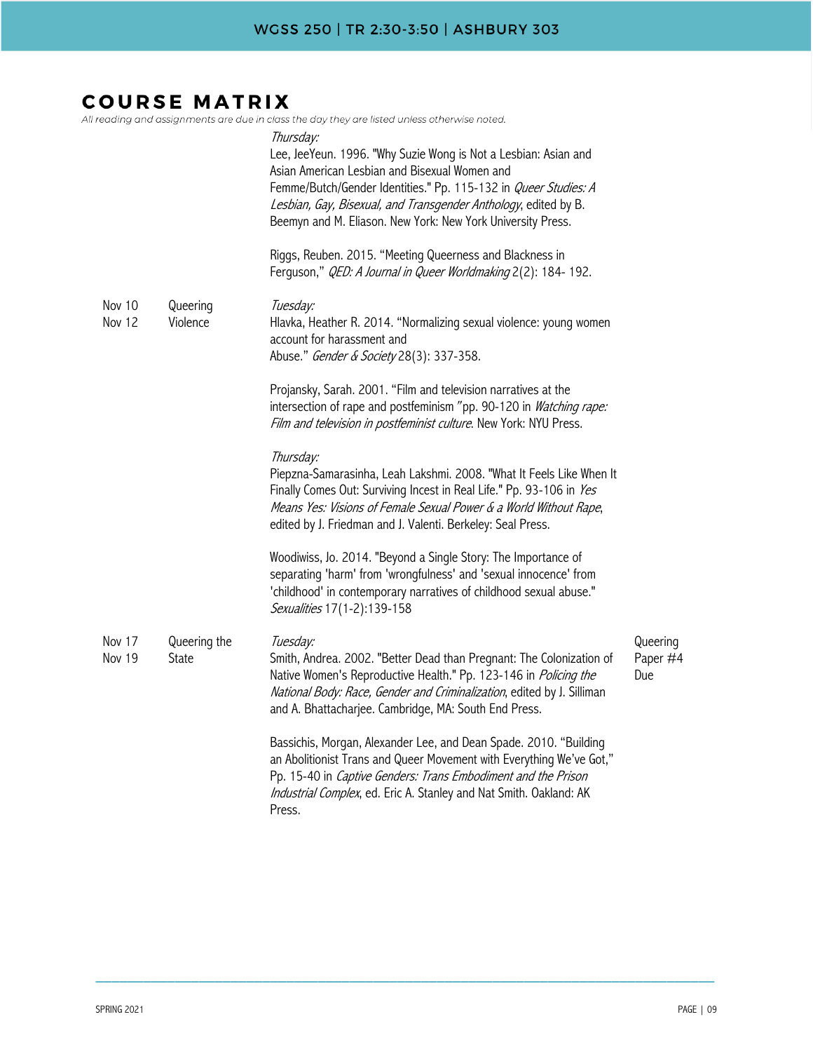#### **COURSE MATRIX**  $All$

|                  |                       | l reading and assignments are due in class the day they are listed unless otherwise noted.<br>Thursday:<br>Lee, JeeYeun. 1996. "Why Suzie Wong is Not a Lesbian: Asian and<br>Asian American Lesbian and Bisexual Women and<br>Femme/Butch/Gender Identities." Pp. 115-132 in Queer Studies: A<br>Lesbian, Gay, Bisexual, and Transgender Anthology, edited by B.<br>Beemyn and M. Eliason. New York: New York University Press.<br>Riggs, Reuben. 2015. "Meeting Queerness and Blackness in<br>Ferguson," QED: A Journal in Queer Worldmaking 2(2): 184-192. |                             |
|------------------|-----------------------|---------------------------------------------------------------------------------------------------------------------------------------------------------------------------------------------------------------------------------------------------------------------------------------------------------------------------------------------------------------------------------------------------------------------------------------------------------------------------------------------------------------------------------------------------------------|-----------------------------|
| Nov 10<br>Nov 12 | Queering<br>Violence  | Tuesday:<br>Hlavka, Heather R. 2014. "Normalizing sexual violence: young women<br>account for harassment and<br>Abuse." Gender & Society 28(3): 337-358.                                                                                                                                                                                                                                                                                                                                                                                                      |                             |
|                  |                       | Projansky, Sarah. 2001. "Film and television narratives at the<br>intersection of rape and postfeminism "pp. 90-120 in Watching rape:<br>Film and television in postfeminist culture. New York: NYU Press.                                                                                                                                                                                                                                                                                                                                                    |                             |
|                  |                       | Thursday:<br>Piepzna-Samarasinha, Leah Lakshmi. 2008. "What It Feels Like When It<br>Finally Comes Out: Surviving Incest in Real Life." Pp. 93-106 in Yes<br>Means Yes: Visions of Female Sexual Power & a World Without Rape,<br>edited by J. Friedman and J. Valenti. Berkeley: Seal Press.                                                                                                                                                                                                                                                                 |                             |
|                  |                       | Woodiwiss, Jo. 2014. "Beyond a Single Story: The Importance of<br>separating 'harm' from 'wrongfulness' and 'sexual innocence' from<br>'childhood' in contemporary narratives of childhood sexual abuse."<br>Sexualities 17(1-2):139-158                                                                                                                                                                                                                                                                                                                      |                             |
| Nov 17<br>Nov 19 | Queering the<br>State | Tuesday:<br>Smith, Andrea. 2002. "Better Dead than Pregnant: The Colonization of<br>Native Women's Reproductive Health." Pp. 123-146 in Policing the<br>National Body: Race, Gender and Criminalization, edited by J. Silliman<br>and A. Bhattacharjee. Cambridge, MA: South End Press.                                                                                                                                                                                                                                                                       | Queering<br>Paper #4<br>Due |
|                  |                       | Bassichis, Morgan, Alexander Lee, and Dean Spade. 2010. "Building<br>an Abolitionist Trans and Queer Movement with Everything We've Got,"<br>Pp. 15-40 in Captive Genders: Trans Embodiment and the Prison<br>Industrial Complex, ed. Eric A. Stanley and Nat Smith. Oakland: AK<br>Press.                                                                                                                                                                                                                                                                    |                             |